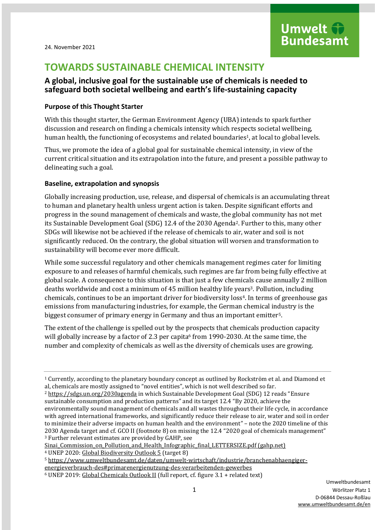# **TOWARDS SUSTAINABLE CHEMICAL INTENSITY**

## **A global, inclusive goal for the sustainable use of chemicals is needed to safeguard both societal wellbeing and earth's life-sustaining capacity**

## **Purpose of this Thought Starter**

With this thought starter, the German Environment Agency (UBA) intends to spark further discussion and research on finding a chemicals intensity which respects societal wellbeing, human health, the functioning of ecosystems and related boundaries<sup>1</sup>, at local to global levels.

Thus, we promote the idea of a global goal for sustainable chemical intensity, in view of the current critical situation and its extrapolation into the future, and present a possible pathway to delineating such a goal.

## **Baseline, extrapolation and synopsis**

Globally increasing production, use, release, and dispersal of chemicals is an accumulating threat to human and planetary health unless urgent action is taken. Despite significant efforts and progress in the sound management of chemicals and waste, the global community has not met its Sustainable Development Goal (SDG) 12.4 of the 2030 Agenda2. Further to this, many other SDGs will likewise not be achieved if the release of chemicals to air, water and soil is not significantly reduced. On the contrary, the global situation will worsen and transformation to sustainability will become ever more difficult.

While some successful regulatory and other chemicals management regimes cater for limiting exposure to and releases of harmful chemicals, such regimes are far from being fully effective at global scale. A consequence to this situation is that just a few chemicals cause annually 2 million deaths worldwide and cost a minimum of 45 million healthy life years<sup>3</sup>. Pollution, including chemicals, continues to be an important driver for biodiversity loss4. In terms of greenhouse gas emissions from manufacturing industries, for example, the German chemical industry is the biggest consumer of primary energy in Germany and thus an important emitter5.

The extent of the challenge is spelled out by the prospects that chemicals production capacity will globally increase by a factor of 2.3 per capita $6$  from 1990-2030. At the same time, the number and complexity of chemicals as well as the diversity of chemicals uses are growing.

Sinai Commission on Pollution and Health Infographic final LETTERSIZE.pdf (gahp.net)

<sup>4</sup> UNEP 2020[: Global Biodiversity Outlook 5](https://www.cbd.int/gbo/gbo5/publication/gbo-5-en.pdf) (target 8)

<sup>5</sup> [https://www.umweltbundesamt.de/daten/umwelt-wirtschaft/industrie/branchenabhaengiger](https://www.umweltbundesamt.de/daten/umwelt-wirtschaft/industrie/branchenabhaengiger-energieverbrauch-des#primarenergienutzung-des-verarbeitenden-gewerbes)[energieverbrauch-des#primarenergienutzung-des-verarbeitenden-gewerbes](https://www.umweltbundesamt.de/daten/umwelt-wirtschaft/industrie/branchenabhaengiger-energieverbrauch-des#primarenergienutzung-des-verarbeitenden-gewerbes)

<sup>1</sup> Currently, according to the planetary boundary concept as outlined by Rockström et al. and Diamond et al, chemicals are mostly assigned to "novel entities", which is not well described so far.

<sup>2</sup> <https://sdgs.un.org/2030agenda> in which Sustainable Development Goal (SDG) 12 reads "Ensure sustainable consumption and production patterns" and its target 12.4 "By 2020, achieve the environmentally sound management of chemicals and all wastes throughout their life cycle, in accordance with agreed international frameworks, and significantly reduce their release to air, water and soil in order to minimize their adverse impacts on human health and the environment" – note the 2020 timeline of this 2030 Agenda target and cf. GCO II (footnote 8) on missing the 12.4 "2020 goal of chemicals management" <sup>3</sup> Further relevant estimates are provided by GAHP, see

<sup>6</sup> UNEP 2019[: Global Chemicals Outlook II](https://wedocs.unep.org/bitstream/handle/20.500.11822/28113/GCOII.pdf?sequence=1&isAllowed=y) (full report, cf. figure 3.1 + related text)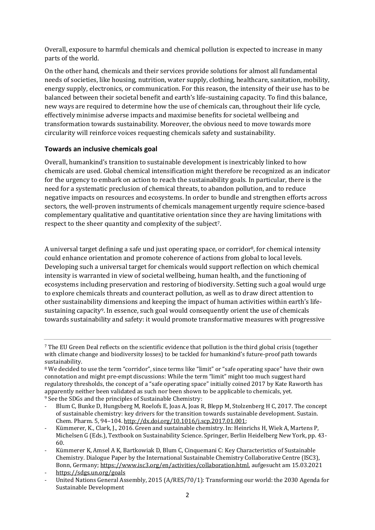Overall, exposure to harmful chemicals and chemical pollution is expected to increase in many parts of the world.

On the other hand, chemicals and their services provide solutions for almost all fundamental needs of societies, like housing, nutrition, water supply, clothing, healthcare, sanitation, mobility, energy supply, electronics, or communication. For this reason, the intensity of their use has to be balanced between their societal benefit and earth's life-sustaining capacity. To find this balance, new ways are required to determine how the use of chemicals can, throughout their life cycle, effectively minimise adverse impacts and maximise benefits for societal wellbeing and transformation towards sustainability. Moreover, the obvious need to move towards more circularity will reinforce voices requesting chemicals safety and sustainability.

## **Towards an inclusive chemicals goal**

Overall, humankind's transition to sustainable development is inextricably linked to how chemicals are used. Global chemical intensification might therefore be recognized as an indicator for the urgency to embark on action to reach the sustainability goals. In particular, there is the need for a systematic preclusion of chemical threats, to abandon pollution, and to reduce negative impacts on resources and ecosystems. In order to bundle and strengthen efforts across sectors, the well-proven instruments of chemicals management urgently require science-based complementary qualitative and quantitative orientation since they are having limitations with respect to the sheer quantity and complexity of the subject7.

A universal target defining a safe und just operating space, or corridor8, for chemical intensity could enhance orientation and promote coherence of actions from global to local levels. Developing such a universal target for chemicals would support reflection on which chemical intensity is warranted in view of societal wellbeing, human health, and the functioning of ecosystems including preservation and restoring of biodiversity. Setting such a goal would urge to explore chemicals threats and counteract pollution, as well as to draw direct attention to other sustainability dimensions and keeping the impact of human activities within earth's lifesustaining capacity9. In essence, such goal would consequently orient the use of chemicals towards sustainability and safety: it would promote transformative measures with progressive

<sup>7</sup> The EU Green Deal reflects on the scientific evidence that pollution is the third global crisis (together with climate change and biodiversity losses) to be tackled for humankind's future-proof path towards sustainability.

<sup>8</sup> We decided to use the term "corridor", since terms like "limit" or "safe operating space" have their own connotation and might pre-empt discussions: While the term "limit" might too much suggest hard regulatory thresholds, the concept of a "safe operating space" initially coined 2017 by Kate Raworth has apparently neither been validated as such nor been shown to be applicable to chemicals, yet. <sup>9</sup> See the SDGs and the principles of Sustainable Chemistry:

Blum C, Bunke D, Hungsberg M, Roelofs E, Joas A, Joas R, Blepp M, Stolzenberg H C, 2017. The concept of sustainable chemistry: key drivers for the transition towards sustainable development. Sustain. Chem. Pharm. 5, 94–104. [http://dx.doi.org/10.1016/j.scp.2017.01.001;](http://dx.doi.org/10.1016/j.scp.2017.01.001)

Kümmerer, K., Clark, J., 2016. Green and sustainable chemistry. In: Heinrichs H, Wiek A, Martens P, Michelsen G (Eds.), Textbook on Sustainability Science. Springer, Berlin Heidelberg New York, pp. 43- 60.

Kümmerer K, Amsel A K, Bartkowiak D, Blum C, Cinquemani C: Key Characteristics of Sustainable Chemistry. Dialogue Paper by the International Sustainable Chemistry Collaborative Centre (ISC3), Bonn, Germany[; https://www.isc3.org/en/activities/collaboration.html,](https://www.isc3.org/en/activities/collaboration.html) aufgesucht am 15.03.2021

<sup>-</sup> <https://sdgs.un.org/goals>

<sup>-</sup> United Nations General Assembly, 2015 (A/RES/70/1): Transforming our world: the 2030 Agenda for Sustainable Development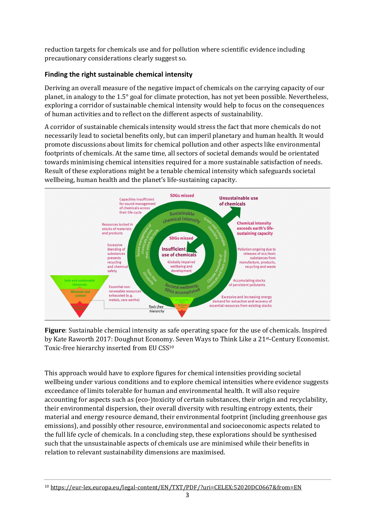reduction targets for chemicals use and for pollution where scientific evidence including precautionary considerations clearly suggest so.

## **Finding the right sustainable chemical intensity**

Deriving an overall measure of the negative impact of chemicals on the carrying capacity of our planet, in analogy to the 1.5° goal for climate protection, has not yet been possible. Nevertheless, exploring a corridor of sustainable chemical intensity would help to focus on the consequences of human activities and to reflect on the different aspects of sustainability.

A corridor of sustainable chemicals intensity would stress the fact that more chemicals do not necessarily lead to societal benefits only, but can imperil planetary and human health. It would promote discussions about limits for chemical pollution and other aspects like environmental footprints of chemicals. At the same time, all sectors of societal demands would be orientated towards minimising chemical intensities required for a more sustainable satisfaction of needs. Result of these explorations might be a tenable chemical intensity which safeguards societal wellbeing, human health and the planet's life-sustaining capacity.



**Figure**: Sustainable chemical intensity as safe operating space for the use of chemicals. Inspired by Kate Raworth 2017: Doughnut Economy. Seven Ways to Think Like a 21st-Century Economist. Toxic-free hierarchy inserted from EU CSS<sup>10</sup>

This approach would have to explore figures for chemical intensities providing societal wellbeing under various conditions and to explore chemical intensities where evidence suggests exceedance of limits tolerable for human and environmental health. It will also require accounting for aspects such as (eco-)toxicity of certain substances, their origin and recyclability, their environmental dispersion, their overall diversity with resulting entropy extents, their material and energy resource demand, their environmental footprint (including greenhouse gas emissions), and possibly other resource, environmental and socioeconomic aspects related to the full life cycle of chemicals. In a concluding step, these explorations should be synthesised such that the unsustainable aspects of chemicals use are minimised while their benefits in relation to relevant sustainability dimensions are maximised.

<sup>10</sup> <https://eur-lex.europa.eu/legal-content/EN/TXT/PDF/?uri=CELEX:52020DC0667&from=EN>